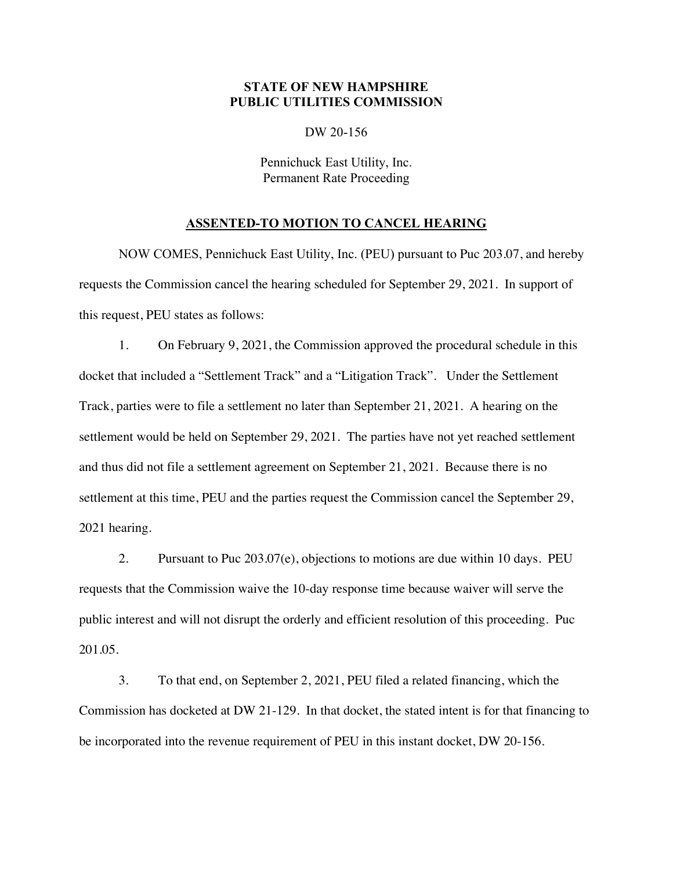## **STATE OF NEW HAMPSHIRE PUBLIC UTILITIES COMMISSION**

DW 20-156

Pennichuck East Utility, Inc. Permanent Rate Proceeding

## **ASSENTED-TO MOTION TO CANCEL HEARING**

NOW COMES, Pennichuck East Utility, Inc. (PEU) pursuant to Puc 203.07, and hereby requests the Commission cancel the hearing scheduled for September 29, 2021. In support of this request, PEU states as follows:

1. On February 9, 2021, the Commission approved the procedural schedule in this docket that included a "Settlement Track" and a "Litigation Track". Under the Settlement Track, parties were to file a settlement no later than September 21, 2021. A hearing on the settlement would be held on September 29, 2021. The parties have not yet reached settlement and thus did not file a settlement agreement on September 21, 2021. Because there is no settlement at this time, PEU and the parties request the Commission cancel the September 29, 2021 hearing.

2. Pursuant to Puc 203.07(e), objections to motions are due within 10 days. PEU requests that the Commission waive the 10-day response time because waiver will serve the public interest and will not disrupt the orderly and efficient resolution of this proceeding. Puc 201.05.

3. To that end, on September 2, 2021, PEU filed a related financing, which the Commission has docketed at DW 21-129. In that docket, the stated intent is for that financing to be incorporated into the revenue requirement of PEU in this instant docket, DW 20-156.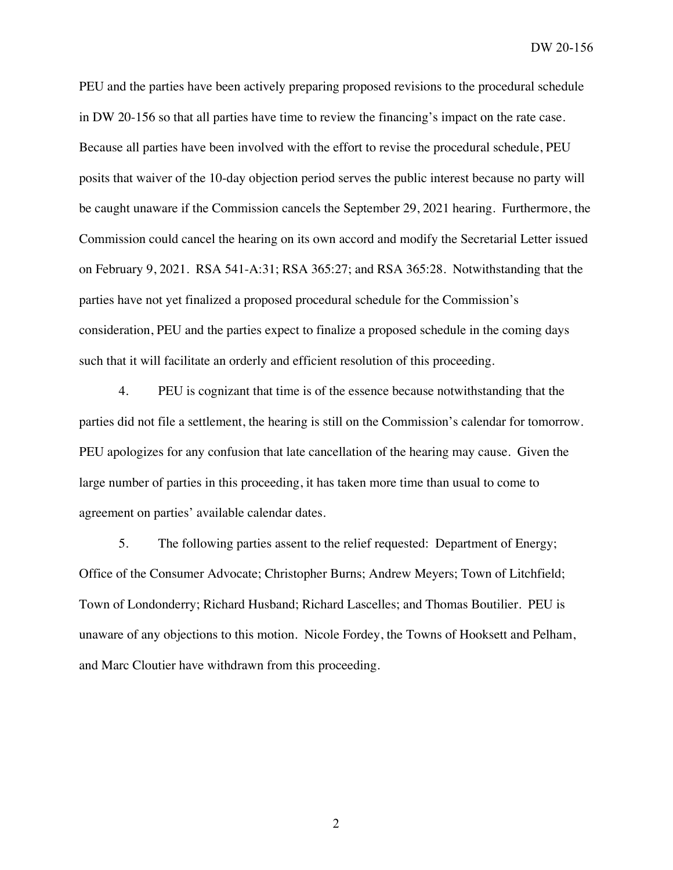DW 20-156

PEU and the parties have been actively preparing proposed revisions to the procedural schedule in DW 20-156 so that all parties have time to review the financing's impact on the rate case. Because all parties have been involved with the effort to revise the procedural schedule, PEU posits that waiver of the 10-day objection period serves the public interest because no party will be caught unaware if the Commission cancels the September 29, 2021 hearing. Furthermore, the Commission could cancel the hearing on its own accord and modify the Secretarial Letter issued on February 9, 2021. RSA 541-A:31; RSA 365:27; and RSA 365:28. Notwithstanding that the parties have not yet finalized a proposed procedural schedule for the Commission's consideration, PEU and the parties expect to finalize a proposed schedule in the coming days such that it will facilitate an orderly and efficient resolution of this proceeding.

4. PEU is cognizant that time is of the essence because notwithstanding that the parties did not file a settlement, the hearing is still on the Commission's calendar for tomorrow. PEU apologizes for any confusion that late cancellation of the hearing may cause. Given the large number of parties in this proceeding, it has taken more time than usual to come to agreement on parties' available calendar dates.

5. The following parties assent to the relief requested: Department of Energy; Office of the Consumer Advocate; Christopher Burns; Andrew Meyers; Town of Litchfield; Town of Londonderry; Richard Husband; Richard Lascelles; and Thomas Boutilier. PEU is unaware of any objections to this motion. Nicole Fordey, the Towns of Hooksett and Pelham, and Marc Cloutier have withdrawn from this proceeding.

2